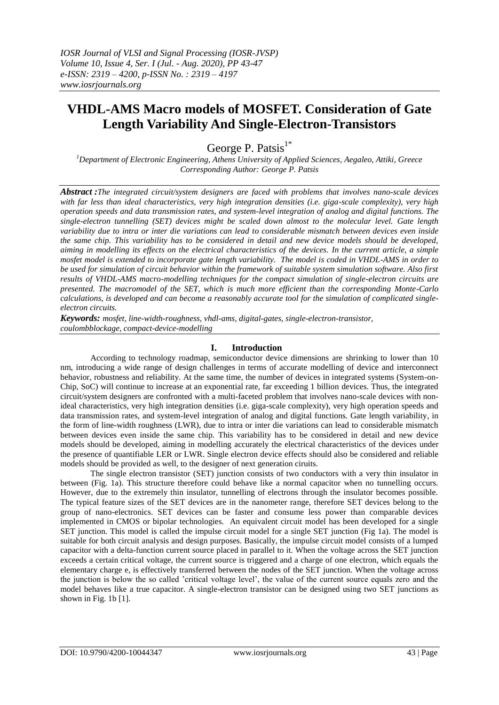# **VHDL-AMS Macro models of MOSFET. Consideration of Gate Length Variability And Single-Electron-Transistors**

George P. Patsis $1^*$ 

*<sup>1</sup>Department of Electronic Engineering, Athens University of Applied Sciences, Aegaleo, Attiki, Greece Corresponding Author: George P. Patsis*

*Abstract :The integrated circuit/system designers are faced with problems that involves nano-scale devices with far less than ideal characteristics, very high integration densities (i.e. giga-scale complexity), very high operation speeds and data transmission rates, and system-level integration of analog and digital functions. The single-electron tunnelling (SET) devices might be scaled down almost to the molecular level. Gate length variability due to intra or inter die variations can lead to considerable mismatch between devices even inside the same chip. This variability has to be considered in detail and new device models should be developed, aiming in modelling its effects on the electrical characteristics of the devices. In the current article, a simple mosfet model is extended to incorporate gate length variability. The model is coded in VHDL-AMS in order to be used for simulation of circuit behavior within the framework of suitable system simulation software. Also first results of VHDL-AMS macro-modelling techniques for the compact simulation of single-electron circuits are presented. The macromodel of the SET, which is much more efficient than the corresponding Monte-Carlo calculations, is developed and can become a reasonably accurate tool for the simulation of complicated singleelectron circuits.*

*Keywords: mosfet, line-width-roughness, vhdl-ams, digital-gates, single-electron-transistor, coulombblockage, compact-device-modelling*

## **I. Introduction**

According to technology roadmap, semiconductor device dimensions are shrinking to lower than 10 nm, introducing a wide range of design challenges in terms of accurate modelling of device and interconnect behavior, robustness and reliability. At the same time, the number of devices in integrated systems (System-on-Chip, SoC) will continue to increase at an exponential rate, far exceeding 1 billion devices. Thus, the integrated circuit/system designers are confronted with a multi-faceted problem that involves nano-scale devices with nonideal characteristics, very high integration densities (i.e. giga-scale complexity), very high operation speeds and data transmission rates, and system-level integration of analog and digital functions. Gate length variability, in the form of line-width roughness (LWR), due to intra or inter die variations can lead to considerable mismatch between devices even inside the same chip. This variability has to be considered in detail and new device models should be developed, aiming in modelling accurately the electrical characteristics of the devices under the presence of quantifiable LER or LWR. Single electron device effects should also be considered and reliable models should be provided as well, to the designer of next generation ciruits.

The single electron transistor (SET) junction consists of two conductors with a very thin insulator in between (Fig. 1a). This structure therefore could behave like a normal capacitor when no tunnelling occurs. However, due to the extremely thin insulator, tunnelling of electrons through the insulator becomes possible. The typical feature sizes of the SET devices are in the nanometer range, therefore SET devices belong to the group of nano-electronics. SET devices can be faster and consume less power than comparable devices implemented in CMOS or bipolar technologies. An equivalent circuit model has been developed for a single SET junction. This model is called the impulse circuit model for a single SET junction (Fig 1a). The model is suitable for both circuit analysis and design purposes. Basically, the impulse circuit model consists of a lumped capacitor with a delta-function current source placed in parallel to it. When the voltage across the SET junction exceeds a certain critical voltage, the current source is triggered and a charge of one electron, which equals the elementary charge e, is effectively transferred between the nodes of the SET junction. When the voltage across the junction is below the so called 'critical voltage level', the value of the current source equals zero and the model behaves like a true capacitor. A single-electron transistor can be designed using two SET junctions as shown in Fig. 1b [1].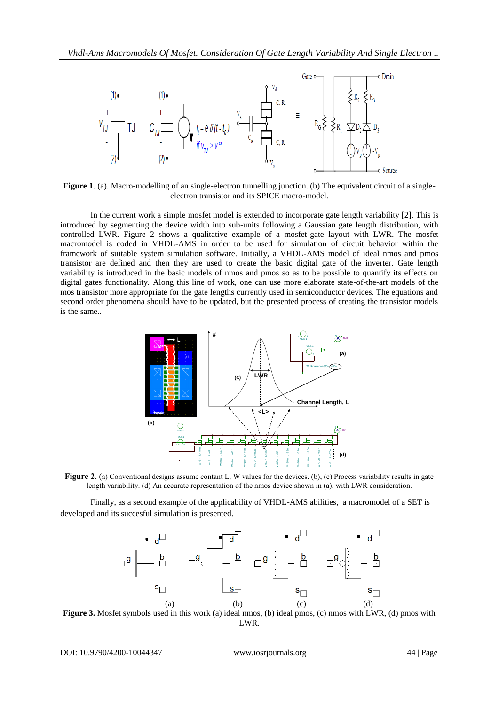

**Figure 1**. (a). Macro-modelling of an single-electron tunnelling junction. (b) The equivalent circuit of a singleelectron transistor and its SPICE macro-model.

In the current work a simple mosfet model is extended to incorporate gate length variability [2]. This is introduced by segmenting the device width into sub-units following a Gaussian gate length distribution, with controlled LWR. Figure 2 shows a qualitative example of a mosfet-gate layout with LWR. The mosfet macromodel is coded in VHDL-AMS in order to be used for simulation of circuit behavior within the framework of suitable system simulation software. Initially, a VHDL-AMS model of ideal nmos and pmos transistor are defined and then they are used to create the basic digital gate of the inverter. Gate length variability is introduced in the basic models of nmos and pmos so as to be possible to quantify its effects on digital gates functionality. Along this line of work, one can use more elaborate state-of-the-art models of the mos transistor more appropriate for the gate lengths currently used in semiconductor devices. The equations and second order phenomena should have to be updated, but the presented process of creating the transistor models is the same..



length variability. (d) An accurate representation of the nmos device shown in (a), with LWR consideration.

Finally, as a second example of the applicability of VHDL-AMS abilities, a macromodel of a SET is developed and its succesful simulation is presented.



**Figure 3.** Mosfet symbols used in this work (a) ideal nmos, (b) ideal pmos, (c) nmos with LWR, (d) pmos with LWR.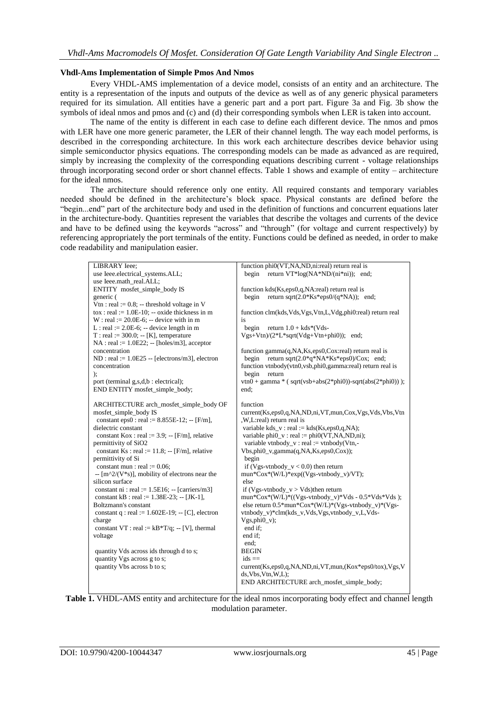### **Vhdl-Ams Implementation of Simple Pmos And Nmos**

Every VHDL-AMS implementation of a device model, consists of an entity and an architecture. The entity is a representation of the inputs and outputs of the device as well as of any generic physical parameters required for its simulation. All entities have a generic part and a port part. Figure 3a and Fig. 3b show the symbols of ideal nmos and pmos and (c) and (d) their corresponding symbols when LER is taken into account.

The name of the entity is different in each case to define each different device. The nmos and pmos with LER have one more generic parameter, the LER of their channel length. The way each model performs, is described in the corresponding architecture. In this work each architecture describes device behavior using simple semiconductor physics equations. The corresponding models can be made as advanced as are required, simply by increasing the complexity of the corresponding equations describing current - voltage relationships through incorporating second order or short channel effects. Table 1 shows and example of entity – architecture for the ideal nmos.

The architecture should reference only one entity. All required constants and temporary variables needed should be defined in the architecture's block space. Physical constants are defined before the "begin...end" part of the architecture body and used in the definition of functions and concurrent equations later in the architecture-body. Quantities represent the variables that describe the voltages and currents of the device and have to be defined using the keywords "across" and "through" (for voltage and current respectively) by referencing appropriately the port terminals of the entity. Functions could be defined as needed, in order to make code readability and manipulation easier.

| <b>LIBRARY</b> Ieee;                                                   | function phi0(VT,NA,ND,ni:real) return real is                  |
|------------------------------------------------------------------------|-----------------------------------------------------------------|
| use Ieee.electrical systems.ALL;                                       | return $VT*log(NA*ND/(ni*ni))$ ; end;<br>begin                  |
| use Ieee.math_real.ALL;                                                |                                                                 |
| ENTITY mosfet_simple_body IS                                           | function kds(Ks,eps0,q,NA:real) return real is                  |
| generic (                                                              | return sqrt $(2.0*Ks*eps0/(q*NA))$ ; end;<br>begin              |
| Vtn : real := $0.8$ ; -- threshold voltage in V                        |                                                                 |
| $\text{to } x : \text{real} := 1.0E-10; -\text{oxide thickness in } m$ | function clm(kds, Vds, Vgs, Vtn, L, Vdg, phi0:real) return real |
| $W$ : real := 20.0E-6; -- device with in m                             | is                                                              |
| L : real := $2.0E-6$ ; -- device length in m                           | begin<br>return $1.0 + kds*(Vds -$                              |
| $T: real := 300.0; -[K]$ , temperature                                 | $Vgs+Vtn)/(2*L*sqrt(Vdg+Vtn+phi0));$ end;                       |
| $NA$ : real := 1.0E22; -- [holes/m3], acceptor                         |                                                                 |
| concentration                                                          | function gamma(q,NA,Ks,eps0,Cox:real) return real is            |
| $ND : real := 1.0E25 - [electrons/m3]$ , electron                      | return sqrt $(2.0*q*NA*Ks*eps0)/Cox$ ; end;<br>begin            |
| concentration                                                          | function vtnbody(vtn0,vsb,phi0,gamma:real) return real is       |
|                                                                        |                                                                 |
| $\mathbf{)}$                                                           | begin<br>return                                                 |
| port (terminal g,s,d,b : electrical);                                  | $vtn0 + gamma * (sqrt(vsb+abs(2*phi0)) - sqrt(abs(2*phi0)));$   |
| END ENTITY mosfet_simple_body;                                         | end:                                                            |
|                                                                        |                                                                 |
| ARCHITECTURE arch_mosfet_simple_body OF                                | function                                                        |
| mosfet_simple_body IS                                                  | current(Ks,eps0,q,NA,ND,ni,VT,mun,Cox,Vgs,Vds,Vbs,Vtn           |
| constant eps0 : real := $8.855E-12$ ; -- [F/m],                        | ,W,L:real) return real is                                       |
| dielectric constant                                                    | variable kds_v: real := $kds(Ks,eps0,q,NA)$ ;                   |
| constant Kox : real := $3.9$ ; -- [F/m], relative                      | variable phi $0_v$ : real := phi $0(VT, NA, ND, ni)$ ;          |
| permittivity of SiO2                                                   | variable vtnbody_v: real := vtnbody(Vtn,-                       |
| constant Ks : real := 11.8; -- [F/m], relative                         | $Vbs,phi_0,gamma(q,NA,Ks,eps0,Cox);$                            |
| permittivity of Si                                                     | begin                                                           |
| constant mun : real := $0.06$ ;                                        | if (Vgs-vtnbody_v < 0.0) then return                            |
| $-$ [m^2/(V*s)], mobility of electrons near the                        | $mun*Cox*(W/L)*exp((Vgs-vtnbody_v)/VT);$                        |
| silicon surface                                                        | else                                                            |
| constant ni : real := $1.5E16$ ; -- [carriers/m3]                      | if (Vgs-vtnbody_v > Vds)then return                             |
| constant kB : real := $1.38E-23$ ; -- [JK-1],                          | mun*Cox*(W/L)*((Vgs-vtnbody_v)*Vds - $0.5$ *Vds*Vds);           |
| Boltzmann's constant                                                   | else return 0.5*mun*Cox*(W/L)*(Vgs-vtnbody_v)*(Vgs-             |
| constant $q$ : real := 1.602E-19; -- [C], electron                     | vtnbody_v)*clm(kds_v,Vds,Vgs,vtnbody_v,L,Vds-                   |
| charge                                                                 | $Vgs,phi_0_v$ ;                                                 |
| constant VT : real := $kB*T/q$ ; -- [V], thermal                       | end if:                                                         |
| voltage                                                                | end if:                                                         |
|                                                                        | end;                                                            |
| quantity Vds across ids through d to s;                                | <b>BEGIN</b>                                                    |
| quantity Vgs across g to s;                                            | $ids ==$                                                        |
| quantity Vbs across b to s;                                            | current(Ks,eps0,q,NA,ND,ni,VT,mun,(Kox*eps0/tox),Vgs,V          |
|                                                                        | ds, Vbs, Vtn, W, L);                                            |
|                                                                        | END ARCHITECTURE arch_mosfet_simple_body;                       |
|                                                                        |                                                                 |

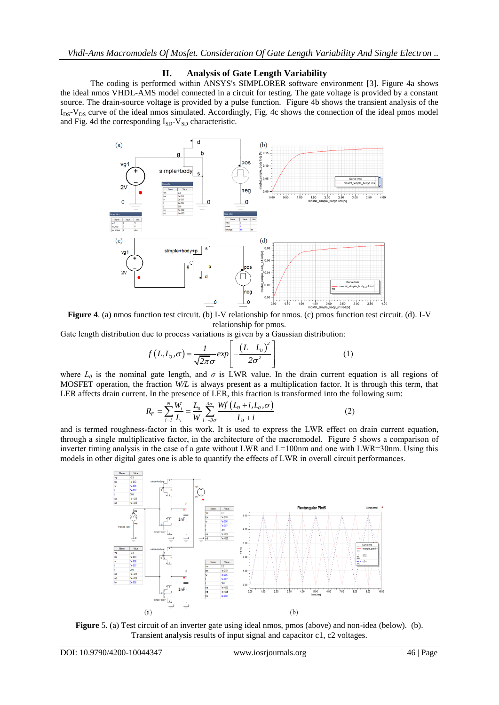## **II. Analysis of Gate Length Variability**

The coding is performed within ANSYS's SIMPLORER software environment [3]. Figure 4a shows the ideal nmos VHDL-AMS model connected in a circuit for testing. The gate voltage is provided by a constant source. The drain-source voltage is provided by a pulse function. Figure 4b shows the transient analysis of the  $I_{DS}$ - $V_{DS}$  curve of the ideal nmos simulated. Accordingly, Fig. 4c shows the connection of the ideal pmos model and Fig. 4d the corresponding  $I_{SD}$ -V<sub>SD</sub> characteristic.



**Figure 4**. (a) nmos function test circuit. (b) I-V relationship for nmos. (c) pmos function test circuit. (d). I-V relationship for pmos.

Gate length distribution due to process variations is given by a Gaussian distribution:  
\n
$$
f(L, L_0, \sigma) = \frac{1}{\sqrt{2\pi}\sigma} exp\left[-\frac{(L - L_0)^2}{2\sigma^2}\right]
$$
\n(1)

where  $L_0$  is the nominal gate length, and  $\sigma$  is LWR value. In the drain current equation is all regions of MOSFET operation, the fraction *W/L* is always present as a multiplication factor. It is through this term, that

LER affects drain current. In the presence of LER, this fraction is transformed into the following sum:  
\n
$$
R_F = \sum_{i=1}^{N} \frac{W_i}{L_i} = \frac{L_0}{W} \sum_{i=-3\sigma}^{3\sigma} \frac{Wf(L_0 + i, L_0, \sigma)}{L_0 + i}
$$
\n(2)

and is termed roughness-factor in this work. It is used to express the LWR effect on drain current equation, through a single multiplicative factor, in the architecture of the macromodel. Figure 5 shows a comparison of inverter timing analysis in the case of a gate without LWR and  $L=100$ nm and one with LWR=30nm. Using this models in other digital gates one is able to quantify the effects of LWR in overall circuit performances.



**Figure** 5. (a) Test circuit of an inverter gate using ideal nmos, pmos (above) and non-idea (below). (b). Transient analysis results of input signal and capacitor c1, c2 voltages.